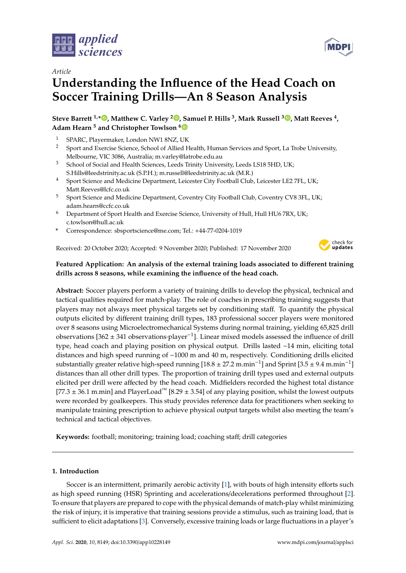



# **Understanding the Influence of the Head Coach on Soccer Training Drills—An 8 Season Analysis**

**Steve Barrett 1,\* [,](https://orcid.org/0000-0002-6751-9937) Matthew C. Varley <sup>2</sup> [,](https://orcid.org/0000-0003-3033-571X) Samuel P. Hills <sup>3</sup> , Mark Russell <sup>3</sup> [,](https://orcid.org/0000-0002-7305-1090) Matt Reeves <sup>4</sup> , Adam Hearn <sup>5</sup> and Christopher Towlson [6](https://orcid.org/0000-0001-5960-0324)**

- <sup>1</sup> SPARC, Playermaker, London NW1 8NZ, UK<sup>2</sup> Sport and Evergies Science, School of Allied H
- <sup>2</sup> Sport and Exercise Science, School of Allied Health, Human Services and Sport, La Trobe University, Melbourne, VIC 3086, Australia; m.varley@latrobe.edu.au
- <sup>3</sup> School of Social and Health Sciences, Leeds Trinity University, Leeds LS18 5HD, UK;
- S.Hills@leedstrinity.ac.uk (S.P.H.); m.russell@leedstrinity.ac.uk (M.R.) <sup>4</sup> Sport Science and Medicine Department, Leicester City Football Club, Leicester LE2 7FL, UK; Matt.Reeves@lcfc.co.uk
- <sup>5</sup> Sport Science and Medicine Department, Coventry City Football Club, Coventry CV8 3FL, UK; adam.hearn@ccfc.co.uk
- <sup>6</sup> Department of Sport Health and Exercise Science, University of Hull, Hull HU6 7RX, UK; c.towlson@hull.ac.uk
- **\*** Correspondence: sbsportscience@me.com; Tel.: +44-77-0204-1019

Received: 20 October 2020; Accepted: 9 November 2020; Published: 17 November 2020



**MDP** 

# **Featured Application: An analysis of the external training loads associated to di**ff**erent training drills across 8 seasons, while examining the influence of the head coach.**

**Abstract:** Soccer players perform a variety of training drills to develop the physical, technical and tactical qualities required for match-play. The role of coaches in prescribing training suggests that players may not always meet physical targets set by conditioning staff. To quantify the physical outputs elicited by different training drill types, 183 professional soccer players were monitored over 8 seasons using Microelectromechanical Systems during normal training, yielding 65,825 drill observations [362 ± 341 observations·player−<sup>1</sup> ]. Linear mixed models assessed the influence of drill type, head coach and playing position on physical output. Drills lasted ~14 min, eliciting total distances and high speed running of  $\sim$ 1000 m and 40 m, respectively. Conditioning drills elicited substantially greater relative high-speed running  $[18.8 \pm 27.2 \text{ m.min}^{-1}]$  and Sprint  $[3.5 \pm 9.4 \text{ m.min}^{-1}]$ distances than all other drill types. The proportion of training drill types used and external outputs elicited per drill were affected by the head coach. Midfielders recorded the highest total distance [77.3 ± 36.1 m.min] and PlayerLoad<sup>™</sup> [8.29 ± 3.54] of any playing position, whilst the lowest outputs were recorded by goalkeepers. This study provides reference data for practitioners when seeking to manipulate training prescription to achieve physical output targets whilst also meeting the team's technical and tactical objectives.

**Keywords:** football; monitoring; training load; coaching staff; drill categories

# **1. Introduction**

Soccer is an intermittent, primarily aerobic activity [\[1\]](#page-10-0), with bouts of high intensity efforts such as high speed running (HSR) Sprinting and accelerations/decelerations performed throughout [\[2\]](#page-10-1). To ensure that players are prepared to cope with the physical demands of match-play whilst minimizing the risk of injury, it is imperative that training sessions provide a stimulus, such as training load, that is sufficient to elicit adaptations [\[3\]](#page-10-2). Conversely, excessive training loads or large fluctuations in a player's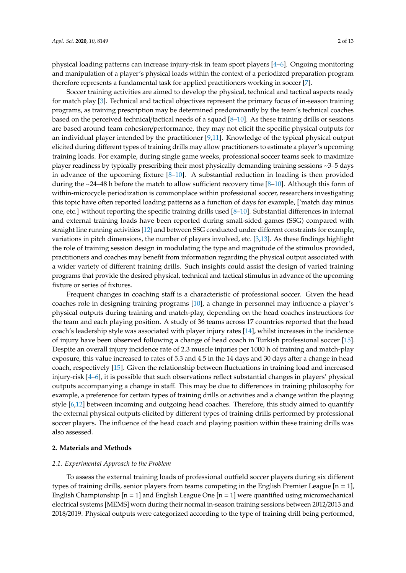physical loading patterns can increase injury-risk in team sport players [\[4–](#page-10-3)[6\]](#page-11-0). Ongoing monitoring and manipulation of a player's physical loads within the context of a periodized preparation program therefore represents a fundamental task for applied practitioners working in soccer [\[7\]](#page-11-1).

Soccer training activities are aimed to develop the physical, technical and tactical aspects ready for match play [\[3\]](#page-10-2). Technical and tactical objectives represent the primary focus of in-season training programs, as training prescription may be determined predominantly by the team's technical coaches based on the perceived technical/tactical needs of a squad [\[8–](#page-11-2)[10\]](#page-11-3). As these training drills or sessions are based around team cohesion/performance, they may not elicit the specific physical outputs for an individual player intended by the practitioner [\[9,](#page-11-4)[11\]](#page-11-5). Knowledge of the typical physical output elicited during different types of training drills may allow practitioners to estimate a player's upcoming training loads. For example, during single game weeks, professional soccer teams seek to maximize player readiness by typically prescribing their most physically demanding training sessions ~3–5 days in advance of the upcoming fixture [\[8](#page-11-2)[–10\]](#page-11-3). A substantial reduction in loading is then provided during the ~24–48 h before the match to allow sufficient recovery time [\[8–](#page-11-2)[10\]](#page-11-3). Although this form of within-microcycle periodization is commonplace within professional soccer, researchers investigating this topic have often reported loading patterns as a function of days for example, ['match day minus one, etc.] without reporting the specific training drills used [\[8](#page-11-2)[–10\]](#page-11-3). Substantial differences in internal and external training loads have been reported during small-sided games (SSG) compared with straight line running activities [\[12\]](#page-11-6) and between SSG conducted under different constraints for example, variations in pitch dimensions, the number of players involved, etc. [\[3](#page-10-2)[,13\]](#page-11-7). As these findings highlight the role of training session design in modulating the type and magnitude of the stimulus provided, practitioners and coaches may benefit from information regarding the physical output associated with a wider variety of different training drills. Such insights could assist the design of varied training programs that provide the desired physical, technical and tactical stimulus in advance of the upcoming fixture or series of fixtures.

Frequent changes in coaching staff is a characteristic of professional soccer. Given the head coaches role in designing training programs [\[10\]](#page-11-3), a change in personnel may influence a player's physical outputs during training and match-play, depending on the head coaches instructions for the team and each playing position. A study of 36 teams across 17 countries reported that the head coach's leadership style was associated with player injury rates [\[14\]](#page-11-8), whilst increases in the incidence of injury have been observed following a change of head coach in Turkish professional soccer [\[15\]](#page-11-9). Despite an overall injury incidence rate of 2.3 muscle injuries per 1000 h of training and match-play exposure, this value increased to rates of 5.3 and 4.5 in the 14 days and 30 days after a change in head coach, respectively [\[15\]](#page-11-9). Given the relationship between fluctuations in training load and increased injury-risk [\[4](#page-10-3)[–6\]](#page-11-0), it is possible that such observations reflect substantial changes in players' physical outputs accompanying a change in staff. This may be due to differences in training philosophy for example, a preference for certain types of training drills or activities and a change within the playing style [\[6,](#page-11-0)[12\]](#page-11-6) between incoming and outgoing head coaches. Therefore, this study aimed to quantify the external physical outputs elicited by different types of training drills performed by professional soccer players. The influence of the head coach and playing position within these training drills was also assessed.

#### **2. Materials and Methods**

#### *2.1. Experimental Approach to the Problem*

To assess the external training loads of professional outfield soccer players during six different types of training drills, senior players from teams competing in the English Premier League  $[n = 1]$ , English Championship  $[n = 1]$  and English League One  $[n = 1]$  were quantified using micromechanical electrical systems [MEMS] worn during their normal in-season training sessions between 2012/2013 and 2018/2019. Physical outputs were categorized according to the type of training drill being performed,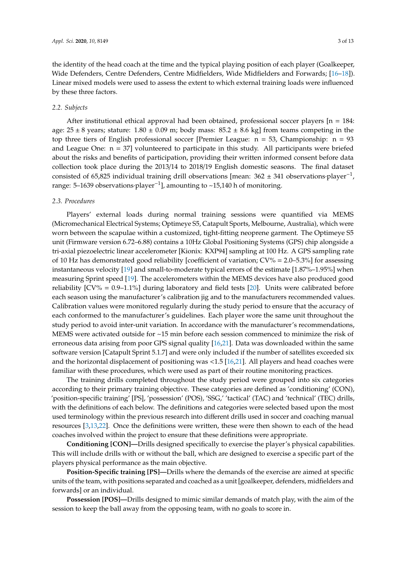the identity of the head coach at the time and the typical playing position of each player (Goalkeeper, Wide Defenders, Centre Defenders, Centre Midfielders, Wide Midfielders and Forwards; [\[16](#page-11-10)[–18\]](#page-11-11)). Linear mixed models were used to assess the extent to which external training loads were influenced by these three factors.

### *2.2. Subjects*

After institutional ethical approval had been obtained, professional soccer players  $[n = 184$ : age:  $25 \pm 8$  years; stature:  $1.80 \pm 0.09$  m; body mass:  $85.2 \pm 8.6$  kg] from teams competing in the top three tiers of English professional soccer [Premier League:  $n = 53$ , Championship:  $n = 93$ and League One:  $n = 37$ ] volunteered to participate in this study. All participants were briefed about the risks and benefits of participation, providing their written informed consent before data collection took place during the 2013/14 to 2018/19 English domestic seasons. The final dataset consisted of 65,825 individual training drill observations [mean: 362 ± 341 observations·player<sup>-1</sup>, range: 5–1639 observations·player−<sup>1</sup> ], amounting to ~15,140 h of monitoring.

## *2.3. Procedures*

Players' external loads during normal training sessions were quantified via MEMS (Micromechanical Electrical Systems; Optimeye S5, Catapult Sports, Melbourne, Australia), which were worn between the scapulae within a customized, tight-fitting neoprene garment. The Optimeye S5 unit (Firmware version 6.72–6.88) contains a 10Hz Global Positioning Systems (GPS) chip alongside a tri-axial piezoelectric linear accelerometer [Kionix: KXP94] sampling at 100 Hz. A GPS sampling rate of 10 Hz has demonstrated good reliability [coefficient of variation; CV% = 2.0–5.3%] for assessing instantaneous velocity [\[19\]](#page-11-12) and small-to-moderate typical errors of the estimate [1.87%–1.95%] when measuring Sprint speed [\[19\]](#page-11-12). The accelerometers within the MEMS devices have also produced good reliability [CV% = 0.9–1.1%] during laboratory and field tests [\[20\]](#page-11-13). Units were calibrated before each season using the manufacturer's calibration jig and to the manufacturers recommended values. Calibration values were monitored regularly during the study period to ensure that the accuracy of each conformed to the manufacturer's guidelines. Each player wore the same unit throughout the study period to avoid inter-unit variation. In accordance with the manufacturer's recommendations, MEMS were activated outside for ~15 min before each session commenced to minimize the risk of erroneous data arising from poor GPS signal quality [\[16](#page-11-10)[,21\]](#page-11-14). Data was downloaded within the same software version [Catapult Sprint 5.1.7] and were only included if the number of satellites exceeded six and the horizontal displacement of positioning was <1.5 [\[16](#page-11-10)[,21\]](#page-11-14). All players and head coaches were familiar with these procedures, which were used as part of their routine monitoring practices.

The training drills completed throughout the study period were grouped into six categories according to their primary training objective. These categories are defined as 'conditioning' (CON), 'position-specific training' [PS], 'possession' (POS), 'SSG,' 'tactical' (TAC) and 'technical' (TEC) drills, with the definitions of each below. The definitions and categories were selected based upon the most used terminology within the previous research into different drills used in soccer and coaching manual resources [\[3,](#page-10-2)[13,](#page-11-7)[22\]](#page-11-15). Once the definitions were written, these were then shown to each of the head coaches involved within the project to ensure that these definitions were appropriate.

**Conditioning [CON]—**Drills designed specifically to exercise the player's physical capabilities. This will include drills with or without the ball, which are designed to exercise a specific part of the players physical performance as the main objective.

**Position-Specific training [PS]—**Drills where the demands of the exercise are aimed at specific units of the team, with positions separated and coached as a unit [goalkeeper, defenders, midfielders and forwards] or an individual.

**Possession [POS]—**Drills designed to mimic similar demands of match play, with the aim of the session to keep the ball away from the opposing team, with no goals to score in.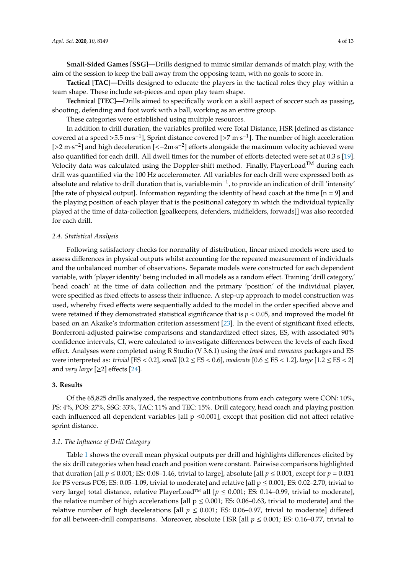**Small-Sided Games [SSG]—**Drills designed to mimic similar demands of match play, with the aim of the session to keep the ball away from the opposing team, with no goals to score in.

**Tactical [TAC]—**Drills designed to educate the players in the tactical roles they play within a team shape. These include set-pieces and open play team shape.

**Technical [TEC]—**Drills aimed to specifically work on a skill aspect of soccer such as passing, shooting, defending and foot work with a ball, working as an entire group.

These categories were established using multiple resources.

In addition to drill duration, the variables profiled were Total Distance, HSR [defined as distance covered at a speed >5.5 m⋅s<sup>-1</sup>], Sprint distance covered [>7 m⋅s<sup>-1</sup>]. The number of high acceleration [>2 m·s<sup>-2</sup>] and high deceleration [<-2m·s<sup>-2</sup>] efforts alongside the maximum velocity achieved were also quantified for each drill. All dwell times for the number of efforts detected were set at 0.3 s [\[19\]](#page-11-12). Velocity data was calculated using the Doppler-shift method. Finally, PlayerLoad<sup>TM</sup> during each drill was quantified via the 100 Hz accelerometer. All variables for each drill were expressed both as absolute and relative to drill duration that is, variable·min−<sup>1</sup> , to provide an indication of drill 'intensity' [the rate of physical output]. Information regarding the identity of head coach at the time  $[n = 9]$  and the playing position of each player that is the positional category in which the individual typically played at the time of data-collection [goalkeepers, defenders, midfielders, forwads]] was also recorded for each drill.

#### *2.4. Statistical Analysis*

Following satisfactory checks for normality of distribution, linear mixed models were used to assess differences in physical outputs whilst accounting for the repeated measurement of individuals and the unbalanced number of observations. Separate models were constructed for each dependent variable, with 'player identity' being included in all models as a random effect. Training 'drill category,' 'head coach' at the time of data collection and the primary 'position' of the individual player, were specified as fixed effects to assess their influence. A step-up approach to model construction was used, whereby fixed effects were sequentially added to the model in the order specified above and were retained if they demonstrated statistical significance that is *p* < 0.05, and improved the model fit based on an Akaike's information criterion assessment [\[23\]](#page-11-16). In the event of significant fixed effects, Bonferroni-adjusted pairwise comparisons and standardized effect sizes, ES, with associated 90% confidence intervals, CI, were calculated to investigate differences between the levels of each fixed effect. Analyses were completed using R Studio (V 3.6.1) using the *lme4* and *emmeans* packages and ES were interpreted as: *trivial* [ES < 0.2], *small* [0.2 ≤ ES < 0.6], *moderate* [0.6 ≤ ES < 1.2], *large* [1.2 ≤ ES < 2] and *very large* [≥2] effects [\[24\]](#page-11-17).

### **3. Results**

Of the 65,825 drills analyzed, the respective contributions from each category were CON: 10%, PS: 4%, POS: 27%, SSG: 33%, TAC: 11% and TEC: 15%. Drill category, head coach and playing position each influenced all dependent variables [all  $p \le 0.001$ ], except that position did not affect relative sprint distance.

## *3.1. The Influence of Drill Category*

Table [1](#page-5-0) shows the overall mean physical outputs per drill and highlights differences elicited by the six drill categories when head coach and position were constant. Pairwise comparisons highlighted that duration [all  $p \le 0.001$ ; ES: 0.08–1.46, trivial to large], absolute [all  $p \le 0.001$ , except for  $p = 0.031$ for PS versus POS; ES: 0.05–1.09, trivial to moderate] and relative [all  $p \le 0.001$ ; ES: 0.02–2.70, trivial to very large] total distance, relative PlayerLoad™ all [*p* ≤ 0.001; ES: 0.14–0.99, trivial to moderate], the relative number of high accelerations [all  $p \le 0.001$ ; ES: 0.06–0.63, trivial to moderate] and the relative number of high decelerations [all  $p \le 0.001$ ; ES: 0.06–0.97, trivial to moderate] differed for all between-drill comparisons. Moreover, absolute HSR [all  $p \le 0.001$ ; ES: 0.16–0.77, trivial to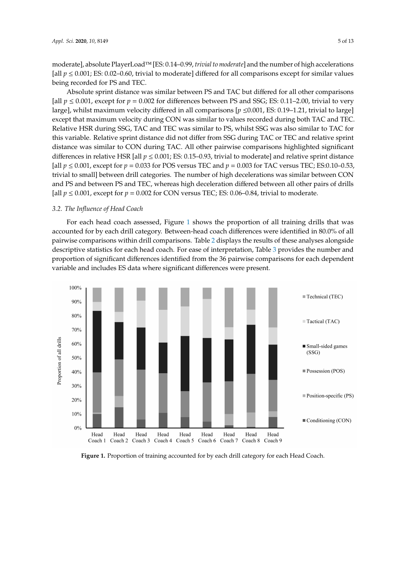moderate], absolute PlayerLoad™ [ES: 0.14–0.99, *trivial to moderate*] and the number of high accelerations [all  $p \le 0.001$ ; ES: 0.02–0.60, trivial to moderate] differed for all comparisons except for similar values being recorded for PS and TEC.

Absolute sprint distance was similar between PS and TAC but differed for all other comparisons [all  $p \le 0.001$ , except for  $p = 0.002$  for differences between PS and SSG; ES: 0.11–2.00, trivial to very large], whilst maximum velocity differed in all comparisons [*p* ≤0.001, ES: 0.19–1.21, trivial to large] except that maximum velocity during CON was similar to values recorded during both TAC and TEC. Relative HSR during SSG, TAC and TEC was similar to PS, whilst SSG was also similar to TAC for this variable. Relative sprint distance did not differ from SSG during TAC or TEC and relative sprint distance was similar to CON during TAC. All other pairwise comparisons highlighted significant differences in relative HSR [all  $p \le 0.001$ ; ES: 0.15–0.93, trivial to moderate] and relative sprint distance [all  $p \le 0.001$ , except for  $p = 0.033$  for POS versus TEC and  $p = 0.003$  for TAC versus TEC; ES:0.10–0.53, trivial to small] between drill categories. The number of high decelerations was similar between CON and PS and between PS and TEC, whereas high deceleration differed between all other pairs of drills [all  $p \le 0.001$ , except for  $p = 0.002$  for CON versus TEC; ES: 0.06–0.84, trivial to moderate.

#### *3.2. The Influence of Head Coach*

For each head coach assessed, Figure [1](#page-4-0) shows the proportion of all training drills that was accounted for by each drill category. Between-head coach differences were identified in 80.0% of all pairwise comparisons within drill comparisons. Table [2](#page-6-0) displays the results of these analyses alongside descriptive statistics for each head coach. For ease of interpretation, Table [3](#page-7-0) provides the number and proportion of significant differences identified from the 36 pairwise comparisons for each dependent variable and includes ES data where significant differences were present.

<span id="page-4-0"></span>

**Figure 1.** Proportion of training accounted for by each drill category for each Head Coach.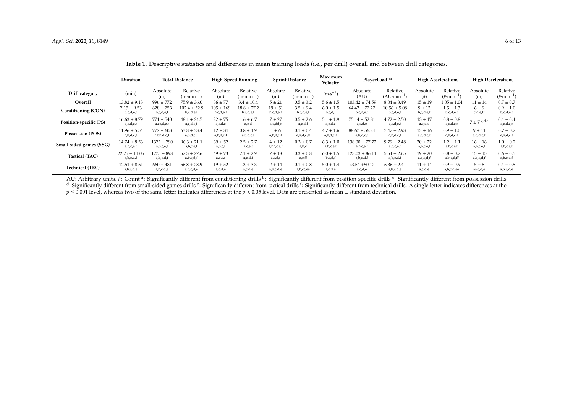|                         | Duration                      |                             | <b>Total Distance</b>            |                        | <b>High-Speed Running</b>        |                      | <b>Sprint Distance</b>     | Maximum<br>Velocity      | PlayerLoad™                  |                                   |                        | <b>High Accelerations</b>         |                 | <b>High Decelerations</b>           |
|-------------------------|-------------------------------|-----------------------------|----------------------------------|------------------------|----------------------------------|----------------------|----------------------------|--------------------------|------------------------------|-----------------------------------|------------------------|-----------------------------------|-----------------|-------------------------------------|
| Drill category          | (min)                         | Absolute<br>(m)             | Relative<br>$(m{\cdot}min^{-1})$ | Absolute<br>(m)        | Relative<br>$(m \cdot min^{-1})$ | Absolute<br>(m)      | Relative<br>(m·min $^{-1}$ | $(m \cdot s^{-1})$       | Absolute<br>(AU)             | Relative<br>$(AU \cdot min^{-1})$ | Absolute<br>(# )       | Relative<br>$(\text{#-min}^{-1})$ | Absolute<br>(m) | Relative<br>(# $\cdot$ min $^{-1})$ |
| Overall                 | $13.82 \pm 9.13$              | $996 \pm 772$               | $75.9 \pm 36.0$                  | $36 \pm 77$            | $3.4 \pm 10.4$                   | $5 \pm 21$           | $0.5 \pm 3.2$              | $5.6 \pm 1.5$            | $103.42 \pm 74.59$           | $8.04 \pm 3.49$                   | $15 \pm 19$            | $1.05 \pm 1.04$                   | $1 \pm 14$      | $0.7 \pm 0.7$                       |
| Conditioning (CON)      | $7.15 \pm 9.53$               | $628 \pm 753$               | $102.4 \pm 52.9$                 | $105 \pm 169$          | $18.8 \pm 27.2$                  | $19 \pm 51$          | $3.5 \pm 9.4$              | $6.0 \pm 1.5$            | $64.42 \pm 77.27$            | $10.56 \pm 5.08$                  | $9 \pm 12$             | $1.5 \pm 1.3$                     | $6 \pm 9$       | $0.9 \pm 1.0$                       |
|                         | b,c,d,e,f                     | b,c,d,e,f                   | b,c,d,e,f                        | b,c,d,e,f              | b,c,d,e,f                        | b,c,d,e,f            | b,c,d,e,f                  | $b$ ,c,d,f               | b,c,d,e,f                    | b,c,d,e,f                         | b,c,d,e,f              | b,c,d,e,f                         | c,d,e,ff        | b,c,d,e,f                           |
| Position-specific (PS)  | $16.63 \pm 8.79$<br>a,c,d,e,f | $771 \pm 540$<br>a,cc,d,e,f | $48.1 \pm 24.7$<br>a,c,d,e,f     | $22 \pm 75$<br>a,c,d,e | $1.6 \pm 6.7$<br>a,c,d           | $7 + 27$<br>a,c,dd,f | $0.5 \pm 2.6$<br>a,c,d,f   | $5.1 \pm 1.9$<br>a,c,d,e | $75.14 \pm 52.81$<br>a,c,d,e | $4.72 \pm 2.50$<br>a,c,d,e,f      | $13 \pm 17$<br>a,c,d,e | $0.8 \pm 0.8$<br>a,c,d,e,f        | $7 \pm 7$ c,d,e | $0.4 \pm 0.4$<br>a,c,d,e,f          |
| Possession (POS)        | $11.96 \pm 5.54$              | $777 \pm 603$               | $63.8 \pm 33.4$                  | $12 \pm 31$            | $0.8 \pm 1.9$                    | $1 \pm 6$            | $0.1 \pm 0.4$              | $4.7 \pm 1.6$            | $88.67 \pm 56.24$            | $7.47 \pm 2.93$                   | $13 \pm 16$            | $0.9 \pm 1.0$                     | $9 \pm 11$      | $0.7 \pm 0.7$                       |
|                         | a,b,d,e,f                     | a,bb,d,e,f                  | a,b,d,e,f                        | a,b,d,e,f              | a,b,d,e,f                        | a,b,d,e,f            | a,b,d,e,ff                 | a,b,d,e,f                | a,b,d,e,f                    | a,b,d,e,f                         | a,b,d,e,f              | a,b,d,e,f                         | a,b,d,e,f       | a,b,d,e,f                           |
| Small-sided games (SSG) | $14.74 \pm 8.53$              | $1373 \pm 790$              | $96.3 \pm 21.1$                  | $39 \pm 52$            | $2.5 \pm 2.7$                    | $4 \pm 12$           | $0.3 \pm 0.7$              | $6.3 \pm 1.0$            | $138.00 \pm 77.72$           | $9.79 \pm 2.48$                   | $20 \pm 22$            | $1.2 \pm 1.1$                     | $16 \pm 16$     | $1.0 \pm 0.7$                       |
|                         | a,b,c,e,f                     | a,b,c,e,f                   | a,b,c,e,f                        | a,b,c,f                | a,c,e,f                          | a,bb,c,e,f           | a,b,c                      | a,b,c,e,f                | a,b,c,e,f                    | a,b,c,e,f                         | a,b,c,e,f              | a,b,c,e,f                         | a,b,c,e,f       | a,b,c,e,f                           |
| <b>Tactical (TAC)</b>   | $22.25 \pm 11.05$             | $1275 \pm 898$              | $57.3 \pm 27.6$                  | $49 \pm 73$            | $2.1 \pm 2.9$                    | $7 \pm 18$           | $0.3 \pm 0.8$              | $6.0 \pm 1.5$            | $123.03 \pm 86.11$           | $5.54 \pm 2.65$                   | $19 \pm 20$            | $0.8 \pm 0.7$                     | $15 \pm 15$     | $0.6 \pm 0.5$                       |
|                         | a,b,c,d,f                     | a,b,c,d,f                   | a,b,c,d,f                        | a,b,c,f                | a,c,d,f                          | a,c,d,f              | a,c,ff                     | b,c,d,t                  | a,b,c,d,f                    | a,b,c,d,f                         | a,b,c,d,f              | a,b,c,d,ff                        | a,b,c,d,t       | a,b,c,d,f                           |
| <b>Technical (TEC)</b>  | $12.51 \pm 8.61$              | $660 \pm 481$               | $56.8 \pm 23.9$                  | $19 \pm 52$            | $1.3 \pm 3.3$                    | $2 \pm 14$           | $0.1 \pm 0.8$              | $5.0 \pm 1.4$            | $73.54 \pm 50.12$            | $6.36 \pm 2.41$                   | $11 \pm 14$            | $0.9 \pm 0.9$                     | $5 \pm 8$       | $0.4 \pm 0.5$                       |
|                         | a,b,c,d,e                     | a,b,c,d,e                   | a,b,c,d,e                        | a,c,d,e                | a,c,d,e                          | a,b,c,d,e            | a,b,cc,ee                  | a,c,d,e                  | a,c,d,e                      | a,b,c,d,e                         | a,c,d,e                | a,b,c,d,ee                        | aa,c,d,e        | a,b,c,d,e                           |

**Table 1.** Descriptive statistics and differences in mean training loads (i.e., per drill) overall and between drill categories.

<span id="page-5-0"></span>AU: Arbitrary units, #: Count <sup>a</sup>: Significantly different from conditioning drills <sup>b</sup>: Significantly different from position-specific drills <sup>c</sup>: Significantly different from possession drills d: Significantly different from small-sided games drills <sup>e</sup>: Significantly different from tactical drills <sup>f</sup>: Significantly different from technical drills. A single letter indicates differences at the  $p \le 0.001$  level, whereas two of the same letter indicates differences at the  $p < 0.05$  level. Data are presented as mean  $\pm$  standard deviation.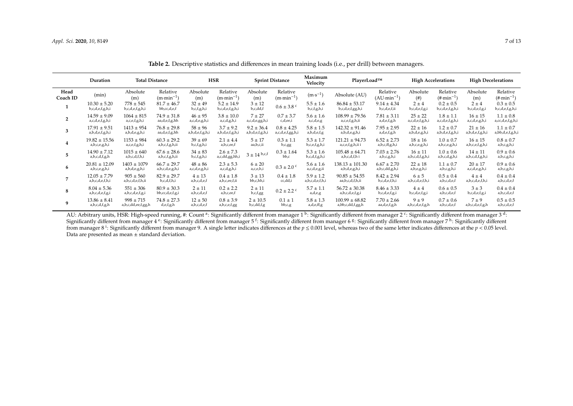|                  | Duration                            | <b>Total Distance</b>               |                                         |                                | <b>HSR</b>                        |                                   | <b>Sprint Distance</b>                  | Maximum<br>Velocity              | PlayerLoad™                            |                                   |                                | <b>High Accelerations</b>                     |                                | <b>High Decelerations</b>                     |
|------------------|-------------------------------------|-------------------------------------|-----------------------------------------|--------------------------------|-----------------------------------|-----------------------------------|-----------------------------------------|----------------------------------|----------------------------------------|-----------------------------------|--------------------------------|-----------------------------------------------|--------------------------------|-----------------------------------------------|
| Head<br>Coach ID | (min)                               | Absolute<br>(m)                     | Relative<br>$(m \cdot \text{min}^{-1})$ | Absolute<br>(m)                | Relative<br>$(m \cdot min^{-1})$  | Absolute<br>(m)                   | Relative<br>$(m \cdot \text{min}^{-1})$ | $(m \cdot s^{-1})$               | Absolute (AU)                          | Relative<br>$(AU·min-1)$          | Absolute<br>(# )               | Relative<br>$(\text{#}\cdot \text{min}^{-1})$ | Absolute<br>(m)                | Relative<br>$(\text{#}\cdot \text{min}^{-1})$ |
|                  | $10.30 \pm 5.20$<br>b,c,d,e,f,g,h,i | $778 \pm 545$<br>b,c,d,e,f,g,h,i    | $81.7 \pm 46.7$<br>bb,cc,d,e,f          | $32 \pm 49$<br>b,c,f,g,h,i     | $5.2 \pm 14.9$<br>b,c,d,e,f,g,h,i | $3 \pm 12$<br>b,c,dd,f            | $0.6 \pm 3.8$ c                         | $5.5 \pm 1.6$<br>b,c,f,g,h,i     | $86.84 \pm 53.17$<br>b,c,d,e,f,gg,h,i  | $9.14 \pm 4.34$<br>b,c,d,e,f,ii   | $2 \pm 4$<br>b,c,d,e,f,g,i     | $0.2 \pm 0.5$<br>b,c,d,e,f,g,h,i              | $2 \pm 4$<br>b,c,d,e,f,g,i     | $0.3 \pm 0.5$<br>b,c,d,e,f,g,h,i              |
| $\overline{2}$   | $14.59 \pm 9.09$<br>a,c,d,e,f,g,h,i | $1064 \pm 815$<br>a,c,e,f,g,h,i     | $74.9 \pm 31.8$<br>aa,d,e,f,g,hh        | $46 \pm 95$<br>a,c,d,e,g,h,i   | $3.8 \pm 10.0$<br>a,c,d,g,h,i     | $7 + 27$<br>a,c,d,e,gg,h,i        | $0.7 \pm 3.7$<br>c,d,ee,i               | $5.6 \pm 1.6$<br>a,c,d,e,g       | $108.99 \pm 79.56$<br>a,c,e,f,g,h,ii   | $7.81 \pm 3.11$<br>a,d,e,f,g,h    | $25 \pm 22$<br>a,c,d,e,f,g,h,i | $1.8 \pm 1.1$<br>a,c,d,e,f,g,h,i              | $16 \pm 15$<br>a,c,d,e,g,h,i   | $1.1 \pm 0.8$<br>a,cc,d,e,f,g,h,i             |
| 3                | $17.91 \pm 9.51$<br>a,b,d,e,f,g,h,i | $1413 \pm 954$<br>a,b,d,e,g,h,i     | $76.8 \pm 29.8$<br>aa,d,e,f,g,hh        | $58 \pm 96$<br>a,b,d,e,f,g,h,i | $3.7 \pm 9.2$<br>a,b,d,e,f,g,h,i  | $9.2 \pm 36.4$<br>a,b,d,e,f,g,h,i | $0.8 \pm 4.25$<br>a,c,d,e,f,gg,h,i      | $5.8 \pm 1.5$<br>a,b,d,e,f,g     | $142.32 \pm 91.46$<br>a,b,d,e,g,h,i    | $7.95 \pm 2.95$<br>a,d,e,f,g,h    | $22 \pm 16$<br>a,b,d,e,g,h,i   | $1.2 \pm 0.7$<br>a,b,d,e,f,g,h,i              | $21 \pm 16$<br>a,b,d,e,f,g,h,i | $1.1 \pm 0.7$<br>a,bb,d,e,f,g,h,i             |
| 4                | $19.82 \pm 15.56$<br>a,b,c,e,g,h,i  | $1153 \pm 984$<br>a,c,e,f,g,h,i     | $60.3 \pm 29.2$<br>a,b,c,f,g,h,ii       | $39 \pm 69$<br>b,c,f,g,h,i     | $2.1 \pm 4.4$<br>a,b,c,ee,f       | $5 \pm 17$<br>aa,b,c,ii           | $0.3 \pm 1.1$<br>b,c,gg                 | $5.3 \pm 1.7$<br>b,c,e,f,g,h,i   | $121.21 \pm 94.73$<br>a,c,e,f,g,h,ii i | $6.52 \pm 2.73$<br>a,b,c,ff,g,h,i | $18 \pm 16$<br>a,b,c,e,g,h,i   | $1.0 \pm 0.7$<br>a,b,c,e,g,h,i                | $16 \pm 15$<br>a,b,c,e,f,g,h,i | $0.8 \pm 0.7$<br>a,b,c,g,h,i                  |
| 5                | $14.90 \pm 7.12$<br>a,b,c,d,f,g,h   | $1015 \pm 640$<br>a,b,c,d,f,h,i     | $67.6 \pm 28.6$<br>a,b,c,f,g,h,ii       | $34 \pm 83$<br>b,c,f,g,h,i     | $2.6 \pm 7.3$<br>a,c,dd,gg,hh,i   | $3 \pm 14$ b,c,f                  | $0.3 \pm 1.64$<br>bb,c                  | $5.3 \pm 1.6$<br>b,c,d,f,g,h,i   | $105.48 \pm 64.71$<br>a,b,c,d,f,h i    | $7.03 \pm 2.76$<br>a,b,c,g,h,i    | $16 \pm 11$<br>a,b,c,d,f,g,h,i | $1.0 \pm 0.6$<br>a,b,c,d,g,h,i                | $14 \pm 11$<br>a,b,c,d,f,g,h,i | $0.9 \pm 0.6$<br>a,b,c,g,h,i                  |
| 6                | $20.81 \pm 12.09$<br>a,b,c,e,g,h,i  | $1403 \pm 1079$<br>a,b,d,e,g,h,i    | $66.7 \pm 29.7$<br>a,b,c,d,e,g,h,i      | $48 \pm 86$<br>a,c,d,e,g,h,i   | $2.3 \pm 5.3$<br>a,c,d,g,h,i      | $6 \pm 20$<br>a,c,e,h,i           | $0.3 \pm 2.0$ °                         | $5.6 \pm 1.6$<br>a,c,d,e,g,ii    | $138.13 \pm 101.30$<br>a,b,d,e,g,h,i   | $6.67 \pm 2.70$<br>a,b,c,dd,g,h,i | $22 \pm 18$<br>a,b,e,g,h,i     | $1.1 \pm 0.7$<br>a,b,c,g,h,i                  | $20 \pm 17$<br>a,c,d,e,g,h,i   | $0.9 \pm 0.6$<br>a,b,c,g,h,i                  |
| 7                | $12.05 \pm 7.79$<br>a,b,c,d,e,f,h,i | $905 \pm 560$<br>a,b,c,d,e,f,h,ii   | $82.9 \pm 29.7$<br>b,c,d,f,h,i          | $4 \pm 13$<br>a,b,c,d,e,f      | $0.4 \pm 1.8$<br>a,b,c,ee,f,ii    | $3 \pm 13$<br>bb,c,hh,i           | $0.4 \pm 1.8$<br>cc,dd,i                | $5.9 \pm 1.2$<br>a,b,c,d,e,f,h,i | $90.85 \pm 54.55$<br>aa,b,c,d,f,h,ii   | $8.42 \pm 2.94$<br>b,c,d,e,f,h,i  | $6 \pm 5$<br>a,b,c,d,e,f,h,i   | $0.5 \pm 0.4$<br>a,b,c,d,e,f                  | $4 \pm 4$<br>a,b,c,d,e,f,h,i   | $0.4 \pm 0.4$<br>a,b,c,d,e,f                  |
| 8                | $8.04 \pm 5.36$<br>a,b,c,d,e,f,g,i  | $551 \pm 306$<br>a,b,c,d,e,f,g,i    | $80.9 \pm 30.3$<br>bb,cc,d,e,f,g,i      | $2 \pm 11$<br>a,b,c,d,e,f      | $0.2 \pm 2.2$<br>a,b,c,ee,f       | $2 \pm 11$<br>b,c,f,gg            | $0.2 \pm 2.2$ c                         | $5.7 \pm 1.1$<br>a,d,e,g         | $56.72 \pm 30.38$<br>a,b,c,d,e,f,g,i   | $8.46 \pm 3.33$<br>b,c,d,e,f,g,i  | $4 \pm 4$<br>b,c,d,e,f,g,i     | $0.6 \pm 0.5$<br>a,b,c,d,e,f                  | $3 \pm 3$<br>b,c,d,e,f,g,i     | $0.4 \pm 0.4$<br>a,b,c,d,e,f                  |
| 9                | $13.86 \pm 8.41$<br>a,b,c,d,f,g,h   | $998 \pm 715$<br>a,b,c,dd,ee,f,gg,h | $74.8 \pm 27.3$<br>d,e,f,g,h            | $12 \pm 50$<br>a,b,c,d,e,f     | $0.8 \pm 3.9$<br>a,b,c,e,f,gg     | $2 \pm 10.5$<br>b,c,dd,f,g        | $0.1 \pm 1$<br>bb,c,g                   | $5.8 \pm 1.3$<br>a,d,e,ff,g      | $100.99 \pm 68.82$<br>a,bb,c,dd,f,gg,h | $7.70 \pm 2.66$<br>aa,d,e,f,g,h   | $9 \pm 9$<br>a,b,c,d,e,f,g,h   | $0.7 \pm 0.6$<br>a,b,c,d,e,f                  | $7 \pm 9$<br>a,b,c,d,e,f,g,h   | $0.5 \pm 0.5$<br>a,b,c,d,e,f                  |

**Table 2.** Descriptive statistics and differences in mean training loads (i.e., per drill) between managers.

<span id="page-6-0"></span>AU: Arbitrary units, HSR: High-speed running, #: Count <sup>a</sup>: Significantly different from manager 1 <sup>b</sup>: Significantly different from manager 2 <sup>c</sup>: Significantly different from manager 3 <sup>d</sup>: Significantly different from manager 4 °: Significantly different from manager 5 <sup>f</sup>: Significantly different from manager 6 <sup>g</sup>: Significantly different from manager 7 <sup>h</sup>: Significantly different from manager 8<sup>i</sup>: Significantly different from manager 9. A single letter indicates differences at the  $p \le 0.001$  level, whereas two of the same letter indicates differences at the  $p < 0.05$  level. Data are presented as mean  $\pm$  standard deviation.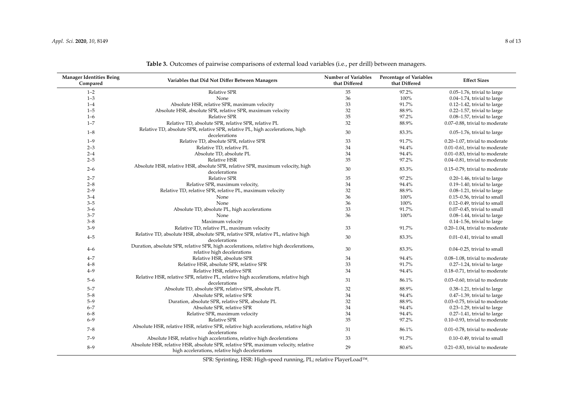<span id="page-7-0"></span>

| <b>Manager Identities Being</b><br>Compared | Variables that Did Not Differ Between Managers                                                                                        | <b>Number of Variables</b><br>that Differed | <b>Percentage of Variables</b><br>that Differed | <b>Effect Sizes</b>              |  |
|---------------------------------------------|---------------------------------------------------------------------------------------------------------------------------------------|---------------------------------------------|-------------------------------------------------|----------------------------------|--|
| $1 - 2$                                     | <b>Relative SPR</b>                                                                                                                   | 35                                          | 97.2%                                           | $0.05-1.76$ , trivial to large   |  |
| $1 - 3$                                     | None                                                                                                                                  | 36                                          | 100%                                            | $0.04-1.74$ , trivial to large   |  |
| $1 - 4$                                     | Absolute HSR, relative SPR, maximum velocity                                                                                          | 33                                          | 91.7%                                           | 0.12-1.42, trivial to large      |  |
| $1 - 5$                                     | Absolute HSR, absolute SPR, relative SPR, maximum velocity                                                                            | 32                                          | 88.9%                                           | $0.22 - 1.57$ , trivial to large |  |
| $1 - 6$                                     | <b>Relative SPR</b>                                                                                                                   | 35                                          | 97.2%                                           | $0.08-1.57$ , trivial to large   |  |
| $1 - 7$                                     | Relative TD, absolute SPR, relative SPR, relative PL                                                                                  | 32                                          | 88.9%                                           | 0.07-0.88, trivial to moderate   |  |
| $1 - 8$                                     | Relative TD, absolute SPR, relative SPR, relative PL, high accelerations, high<br>decelerations                                       | 30                                          | 83.3%                                           | $0.05-1.76$ , trivial to large   |  |
| $1 - 9$                                     | Relative TD, absolute SPR, relative SPR                                                                                               | 33                                          | 91.7%                                           | 0.20-1.07, trivial to moderate   |  |
| $2 - 3$                                     | Relative TD, relative PL                                                                                                              | 34                                          | 94.4%                                           | 0.01-0.61, trivial to moderate   |  |
| $2 - 4$                                     | Absolute TD, absolute PL                                                                                                              | 34                                          | 94.4%                                           | 0.01-0.83, trivial to moderate   |  |
| $2 - 5$                                     | <b>Relative HSR</b>                                                                                                                   | 35                                          | 97.2%                                           | 0.04-0.81, trivial to moderate   |  |
| $2 - 6$                                     | Absolute HSR, relative HSR, absolute SPR, relative SPR, maximum velocity, high<br>decelerations                                       | 30                                          | 83.3%                                           | 0.15–0.79, trivial to moderate   |  |
| $2 - 7$                                     | <b>Relative SPR</b>                                                                                                                   | 35                                          | 97.2%                                           | $0.20-1.46$ , trivial to large   |  |
| $2 - 8$                                     | Relative SPR, maximum velocity,                                                                                                       | 34                                          | 94.4%                                           | $0.19-1.40$ , trivial to large   |  |
| $2 - 9$                                     | Relative TD, relative SPR, relative PL, maximum velocity                                                                              | 32                                          | 88.9%                                           | $0.08-1.21$ , trivial to large   |  |
| $3 - 4$                                     | None                                                                                                                                  | 36                                          | 100%                                            | 0.15-0.56, trivial to small      |  |
| $3 - 5$                                     | None                                                                                                                                  | 36                                          | 100%                                            | 0.12-0.49, trivial to small      |  |
| $3 - 6$                                     | Absolute TD, absolute PL, high accelerations                                                                                          | 33                                          | 91.7%                                           | 0.07-0.45, trivial to small      |  |
| $3 - 7$                                     | None                                                                                                                                  | 36                                          | 100%                                            | 0.08-1.44, trivial to large      |  |
| $3 - 8$                                     | Maximum velocity                                                                                                                      |                                             |                                                 | $0.14-1.56$ , trivial to large   |  |
| $3 - 9$                                     | Relative TD, relative PL, maximum velocity                                                                                            | 33                                          | 91.7%                                           | 0.20-1.04, trivial to moderate   |  |
| $4 - 5$                                     | Relative TD, absolute HSR, absolute SPR, relative SPR, relative PL, relative high<br>decelerations                                    | 30                                          | 83.3%                                           | 0.01-0.41, trivial to small      |  |
| $4 - 6$                                     | Duration, absolute SPR, relative SPR, high accelerations, relative high decelerations,<br>relative high decelerations                 | 30                                          | 83.3%                                           | $0.04 - 0.25$ , trivial to small |  |
| $4 - 7$                                     | Relative HSR, absolute SPR                                                                                                            | 34                                          | 94.4%                                           | 0.08-1.08, trivial to moderate   |  |
| $4 - 8$                                     | Relative HSR, absolute SPR, relative SPR                                                                                              | 33                                          | 91.7%                                           | $0.27-1.24$ , trivial to large   |  |
| $4 - 9$                                     | Relative HSR, relative SPR                                                                                                            | 34                                          | 94.4%                                           | 0.18-0.71, trivial to moderate   |  |
| $5 - 6$                                     | Relative HSR, relative SPR, relative PL, relative high accelerations, relative high<br>decelerations                                  | 31                                          | 86.1%                                           | 0.03-0.60, trivial to moderate   |  |
| $5 - 7$                                     | Absolute TD, absolute SPR, relative SPR, absolute PL                                                                                  | 32                                          | 88.9%                                           | $0.38-1.21$ , trivial to large   |  |
| $5 - 8$                                     | Absolute SPR, relative SPR                                                                                                            | 34                                          | 94.4%                                           | $0.47-1.39$ , trivial to large   |  |
| $5 - 9$                                     | Duration, absolute SPR, relative SPR, absolute PL                                                                                     | 32                                          | 88.9%                                           | 0.03-0.75, trivial to moderate   |  |
| $6 - 7$                                     | Absolute SPR, relative SPR                                                                                                            | 34                                          | 94.4%                                           | $0.23-1.29$ , trivial to large   |  |
| $6 - 8$                                     | Relative SPR, maximum velocity                                                                                                        | 34                                          | 94.4%                                           | 0.27-1.41, trivial to large      |  |
| $6 - 9$                                     | <b>Relative SPR</b>                                                                                                                   | 35                                          | 97.2%                                           | 0.10-0.93, trivial to moderate   |  |
| $7 - 8$                                     | Absolute HSR, relative HSR, relative SPR, relative high accelerations, relative high<br>decelerations                                 | 31                                          | 86.1%                                           | 0.01-0.78, trivial to moderate   |  |
| $7 - 9$                                     | Absolute HSR, relative high accelerations, relative high decelerations                                                                | 33                                          | 91.7%                                           | 0.10-0.49, trivial to small      |  |
| $8 - 9$                                     | Absolute HSR, relative HSR, absolute SPR, relative SPR, maximum velocity, relative<br>high accelerations, relative high decelerations | 29                                          | 80.6%                                           | 0.21–0.83, trivial to moderate   |  |

**Table 3.** Outcomes of pairwise comparisons of external load variables (i.e., per drill) between managers.

SPR: Sprinting, HSR: High-speed running, PL; relative PlayerLoad™.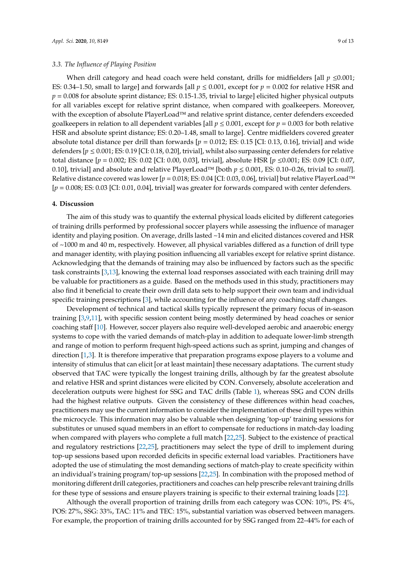#### *3.3. The Influence of Playing Position*

When drill category and head coach were held constant, drills for midfielders [all  $p \leq 0.001$ ; ES: 0.34–1.50, small to large] and forwards [all  $p \le 0.001$ , except for  $p = 0.002$  for relative HSR and *p* = 0.008 for absolute sprint distance; ES: 0.15-1.35, trivial to large] elicited higher physical outputs for all variables except for relative sprint distance, when compared with goalkeepers. Moreover, with the exception of absolute PlayerLoad™ and relative sprint distance, center defenders exceeded goalkeepers in relation to all dependent variables [all  $p \le 0.001$ , except for  $p = 0.003$  for both relative HSR and absolute sprint distance; ES: 0.20–1.48, small to large]. Centre midfielders covered greater absolute total distance per drill than forwards [*p* = 0.012; ES: 0.15 [CI: 0.13, 0.16], trivial] and wide defenders  $[p \le 0.001$ ; ES: 0.19 [CI: 0.18, 0.20], trivial], whilst also surpassing center defenders for relative total distance [*p* = 0.002; ES: 0.02 [CI: 0.00, 0.03], trivial], absolute HSR [*p* ≤0.001; ES: 0.09 [CI: 0.07, 0.10], trivial] and absolute and relative PlayerLoad™ [both  $p ≤ 0.001$ , ES: 0.10–0.26, trivial to *small*]. Relative distance covered was lower [*p* = 0.018; ES: 0.04 [CI: 0.03, 0.06], trivial] but relative PlayerLoad™  $[p = 0.008; E\text{S}: 0.03$  [CI: 0.01, 0.04], trivial] was greater for forwards compared with center defenders.

#### **4. Discussion**

The aim of this study was to quantify the external physical loads elicited by different categories of training drills performed by professional soccer players while assessing the influence of manager identity and playing position. On average, drills lasted ~14 min and elicited distances covered and HSR of ~1000 m and 40 m, respectively. However, all physical variables differed as a function of drill type and manager identity, with playing position influencing all variables except for relative sprint distance. Acknowledging that the demands of training may also be influenced by factors such as the specific task constraints [\[3](#page-10-2)[,13\]](#page-11-7), knowing the external load responses associated with each training drill may be valuable for practitioners as a guide. Based on the methods used in this study, practitioners may also find it beneficial to create their own drill data sets to help support their own team and individual specific training prescriptions [\[3\]](#page-10-2), while accounting for the influence of any coaching staff changes.

Development of technical and tactical skills typically represent the primary focus of in-season training [\[3,](#page-10-2)[9](#page-11-4)[,11\]](#page-11-5), with specific session content being mostly determined by head coaches or senior coaching staff [\[10\]](#page-11-3). However, soccer players also require well-developed aerobic and anaerobic energy systems to cope with the varied demands of match-play in addition to adequate lower-limb strength and range of motion to perform frequent high-speed actions such as sprint, jumping and changes of direction [\[1](#page-10-0)[,3\]](#page-10-2). It is therefore imperative that preparation programs expose players to a volume and intensity of stimulus that can elicit [or at least maintain] these necessary adaptations. The current study observed that TAC were typically the longest training drills, although by far the greatest absolute and relative HSR and sprint distances were elicited by CON. Conversely, absolute acceleration and deceleration outputs were highest for SSG and TAC drills (Table [1\)](#page-5-0), whereas SSG and CON drills had the highest relative outputs. Given the consistency of these differences within head coaches, practitioners may use the current information to consider the implementation of these drill types within the microcycle. This information may also be valuable when designing 'top-up' training sessions for substitutes or unused squad members in an effort to compensate for reductions in match-day loading when compared with players who complete a full match [\[22,](#page-11-15)[25\]](#page-11-18). Subject to the existence of practical and regulatory restrictions [\[22,](#page-11-15)[25\]](#page-11-18), practitioners may select the type of drill to implement during top-up sessions based upon recorded deficits in specific external load variables. Practitioners have adopted the use of stimulating the most demanding sections of match-play to create specificity within an individual's training program/ top-up sessions [\[22](#page-11-15)[,25\]](#page-11-18). In combination with the proposed method of monitoring different drill categories, practitioners and coaches can help prescribe relevant training drills for these type of sessions and ensure players training is specific to their external training loads [\[22\]](#page-11-15).

Although the overall proportion of training drills from each category was CON: 10%, PS: 4%, POS: 27%, SSG: 33%, TAC: 11% and TEC: 15%, substantial variation was observed between managers. For example, the proportion of training drills accounted for by SSG ranged from 22–44% for each of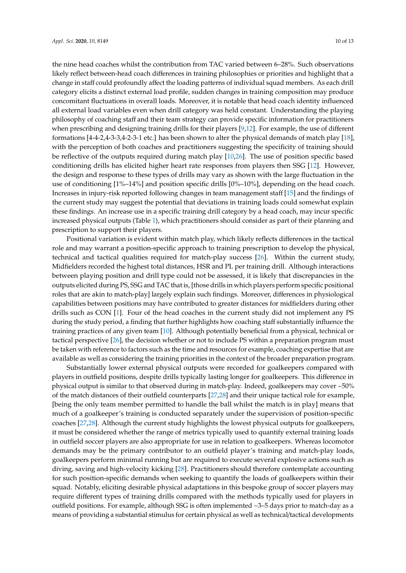the nine head coaches whilst the contribution from TAC varied between 6–28%. Such observations likely reflect between-head coach differences in training philosophies or priorities and highlight that a change in staff could profoundly affect the loading patterns of individual squad members. As each drill category elicits a distinct external load profile, sudden changes in training composition may produce concomitant fluctuations in overall loads. Moreover, it is notable that head coach identity influenced all external load variables even when drill category was held constant. Understanding the playing philosophy of coaching staff and their team strategy can provide specific information for practitioners when prescribing and designing training drills for their players [\[9,](#page-11-4)[12\]](#page-11-6). For example, the use of different formations [4-4-2,4-3-3,4-2-3-1 etc.] has been shown to alter the physical demands of match play [\[18\]](#page-11-11), with the perception of both coaches and practitioners suggesting the specificity of training should be reflective of the outputs required during match play [\[10,](#page-11-3)[26\]](#page-11-19). The use of position specific based conditioning drills has elicited higher heart rate responses from players then SSG [\[12\]](#page-11-6). However, the design and response to these types of drills may vary as shown with the large fluctuation in the use of conditioning [1%–14%] and position specific drills [0%–10%], depending on the head coach. Increases in injury-risk reported following changes in team management staff [\[15\]](#page-11-9) and the findings of the current study may suggest the potential that deviations in training loads could somewhat explain these findings. An increase use in a specific training drill category by a head coach, may incur specific increased physical outputs (Table [1\)](#page-5-0), which practitioners should consider as part of their planning and prescription to support their players.

Positional variation is evident within match play, which likely reflects differences in the tactical role and may warrant a position-specific approach to training prescription to develop the physical, technical and tactical qualities required for match-play success [\[26\]](#page-11-19). Within the current study, Midfielders recorded the highest total distances, HSR and PL per training drill. Although interactions between playing position and drill type could not be assessed, it is likely that discrepancies in the outputs elicited during PS, SSG and TAC that is, [those drills in which players perform specific positional roles that are akin to match-play] largely explain such findings. Moreover, differences in physiological capabilities between positions may have contributed to greater distances for midfielders during other drills such as CON [\[1\]](#page-10-0). Four of the head coaches in the current study did not implement any PS during the study period, a finding that further highlights how coaching staff substantially influence the training practices of any given team [\[10\]](#page-11-3). Although potentially beneficial from a physical, technical or tactical perspective [\[26\]](#page-11-19), the decision whether or not to include PS within a preparation program must be taken with reference to factors such as the time and resources for example, coaching expertise that are available as well as considering the training priorities in the context of the broader preparation program.

Substantially lower external physical outputs were recorded for goalkeepers compared with players in outfield positions, despite drills typically lasting longer for goalkeepers. This difference in physical output is similar to that observed during in match-play. Indeed, goalkeepers may cover ~50% of the match distances of their outfield counterparts [\[27](#page-12-0)[,28\]](#page-12-1) and their unique tactical role for example, [being the only team member permitted to handle the ball whilst the match is in play] means that much of a goalkeeper's training is conducted separately under the supervision of position-specific coaches [\[27,](#page-12-0)[28\]](#page-12-1). Although the current study highlights the lowest physical outputs for goalkeepers, it must be considered whether the range of metrics typically used to quantify external training loads in outfield soccer players are also appropriate for use in relation to goalkeepers. Whereas locomotor demands may be the primary contributor to an outfield player's training and match-play loads, goalkeepers perform minimal running but are required to execute several explosive actions such as diving, saving and high-velocity kicking [\[28\]](#page-12-1). Practitioners should therefore contemplate accounting for such position-specific demands when seeking to quantify the loads of goalkeepers within their squad. Notably, eliciting desirable physical adaptations in this bespoke group of soccer players may require different types of training drills compared with the methods typically used for players in outfield positions. For example, although SSG is often implemented ~3–5 days prior to match-day as a means of providing a substantial stimulus for certain physical as well as technical/tactical developments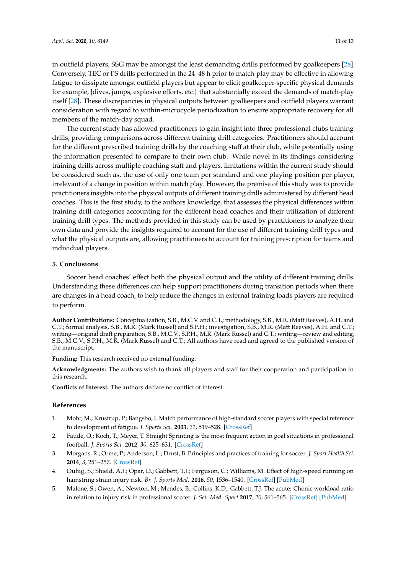in outfield players, SSG may be amongst the least demanding drills performed by goalkeepers [\[28\]](#page-12-1). Conversely, TEC or PS drills performed in the 24–48 h prior to match-play may be effective in allowing fatigue to dissipate amongst outfield players but appear to elicit goalkeeper-specific physical demands for example, [dives, jumps, explosive efforts, etc.] that substantially exceed the demands of match-play itself [\[28\]](#page-12-1). These discrepancies in physical outputs between goalkeepers and outfield players warrant consideration with regard to within-microcycle periodization to ensure appropriate recovery for all members of the match-day squad.

The current study has allowed practitioners to gain insight into three professional clubs training drills, providing comparisons across different training drill categories. Practitioners should account for the different prescribed training drills by the coaching staff at their club, while potentially using the information presented to compare to their own club. While novel in its findings considering training drills across multiple coaching staff and players, limitations within the current study should be considered such as, the use of only one team per standard and one playing position per player, irrelevant of a change in position within match play. However, the premise of this study was to provide practitioners insights into the physical outputs of different training drills administered by different head coaches. This is the first study, to the authors knowledge, that assesses the physical differences within training drill categories accounting for the different head coaches and their utilization of different training drill types. The methods provided in this study can be used by practitioners to analyze their own data and provide the insights required to account for the use of different training drill types and what the physical outputs are, allowing practitioners to account for training prescription for teams and individual players.

# **5. Conclusions**

Soccer head coaches' effect both the physical output and the utility of different training drills. Understanding these differences can help support practitioners during transition periods when there are changes in a head coach, to help reduce the changes in external training loads players are required to perform.

**Author Contributions:** Conceptualization, S.B., M.C.V. and C.T.; methodology, S.B., M.R. (Matt Reeves), A.H. and C.T.; formal analysis, S.B., M.R. (Mark Russel) and S.P.H.; investigation, S.B., M.R. (Matt Reeves), A.H. and C.T.; writing—original draft preparation, S.B., M.C.V., S.P.H., M.R. (Mark Russel) and C.T.; writing—review and editing, S.B., M.C.V., S.P.H., M.R. (Mark Russel) and C.T.; All authors have read and agreed to the published version of the manuscript.

**Funding:** This research received no external funding.

**Acknowledgments:** The authors wish to thank all players and staff for their cooperation and participation in this research.

**Conflicts of Interest:** The authors declare no conflict of interest.

# **References**

- <span id="page-10-0"></span>1. Mohr, M.; Krustrup, P.; Bangsbo, J. Match performance of high-standard soccer players with special reference to development of fatigue. *J. Sports Sci.* **2003**, *21*, 519–528. [\[CrossRef\]](http://dx.doi.org/10.1080/0264041031000071182)
- <span id="page-10-1"></span>2. Faude, O.; Koch, T.; Meyer, T. Straight Sprinting is the most frequent action in goal situations in professional football. *J. Sports Sci.* **2012**, *30*, 625–631. [\[CrossRef\]](http://dx.doi.org/10.1080/02640414.2012.665940)
- <span id="page-10-2"></span>3. Morgans, R.; Orme, P.; Anderson, L.; Drust, B. Principles and practices of training for soccer. *J. Sport Health Sci.* **2014**, *3*, 251–257. [\[CrossRef\]](http://dx.doi.org/10.1016/j.jshs.2014.07.002)
- <span id="page-10-3"></span>4. Duhig, S.; Shield, A.J.; Opar, D.; Gabbett, T.J.; Ferguson, C.; Williams, M. Effect of high-speed running on hamstring strain injury risk. *Br. J. Sports Med.* **2016**, *50*, 1536–1540. [\[CrossRef\]](http://dx.doi.org/10.1136/bjsports-2015-095679) [\[PubMed\]](http://www.ncbi.nlm.nih.gov/pubmed/27288515)
- 5. Malone, S.; Owen, A.; Newton, M.; Mendes, B.; Collins, K.D.; Gabbett, T.J. The acute: Chonic workload ratio in relation to injury risk in professional soccer. *J. Sci. Med. Sport* **2017**, *20*, 561–565. [\[CrossRef\]](http://dx.doi.org/10.1016/j.jsams.2016.10.014) [\[PubMed\]](http://www.ncbi.nlm.nih.gov/pubmed/27856198)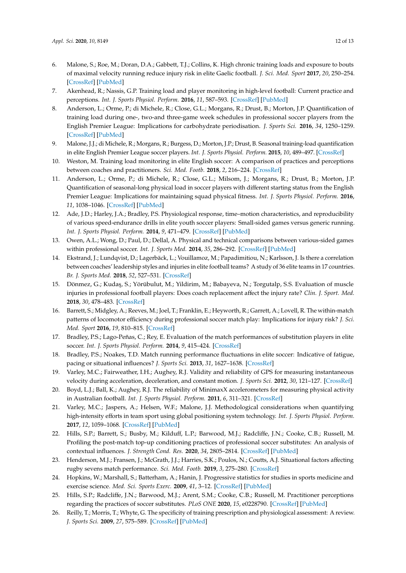- <span id="page-11-0"></span>6. Malone, S.; Roe, M.; Doran, D.A.; Gabbett, T.J.; Collins, K. High chronic training loads and exposure to bouts of maximal velocity running reduce injury risk in elite Gaelic football. *J. Sci. Med. Sport* **2017**, *20*, 250–254. [\[CrossRef\]](http://dx.doi.org/10.1016/j.jsams.2016.08.005) [\[PubMed\]](http://www.ncbi.nlm.nih.gov/pubmed/27554923)
- <span id="page-11-1"></span>7. Akenhead, R.; Nassis, G.P. Training load and player monitoring in high-level football: Current practice and perceptions. *Int. J. Sports Physiol. Perform.* **2016**, *11*, 587–593. [\[CrossRef\]](http://dx.doi.org/10.1123/ijspp.2015-0331) [\[PubMed\]](http://www.ncbi.nlm.nih.gov/pubmed/26456711)
- <span id="page-11-2"></span>8. Anderson, L.; Orme, P.; di Michele, R.; Close, G.L.; Morgans, R.; Drust, B.; Morton, J.P. Quantification of training load during one-, two-and three-game week schedules in professional soccer players from the English Premier League: Implications for carbohydrate periodisation. *J. Sports Sci.* **2016**, *34*, 1250–1259. [\[CrossRef\]](http://dx.doi.org/10.1080/02640414.2015.1106574) [\[PubMed\]](http://www.ncbi.nlm.nih.gov/pubmed/26536538)
- <span id="page-11-4"></span>9. Malone, J.J.; di Michele, R.; Morgans, R.; Burgess, D.; Morton, J.P.; Drust, B. Seasonal training-load quantification in elite English Premier League soccer players. *Int. J. Sports Physiol. Perform.* **2015**, *10*, 489–497. [\[CrossRef\]](http://dx.doi.org/10.1123/ijspp.2014-0352)
- <span id="page-11-3"></span>10. Weston, M. Training load monitoring in elite English soccer: A comparison of practices and perceptions between coaches and practitioners. *Sci. Med. Footb.* **2018**, *2*, 216–224. [\[CrossRef\]](http://dx.doi.org/10.1080/24733938.2018.1427883)
- <span id="page-11-5"></span>11. Anderson, L.; Orme, P.; di Michele, R.; Close, G.L.; Milsom, J.; Morgans, R.; Drust, B.; Morton, J.P. Quantification of seasonal-long physical load in soccer players with different starting status from the English Premier League: Implications for maintaining squad physical fitness. *Int. J. Sports Physiol. Perform.* **2016**, *11*, 1038–1046. [\[CrossRef\]](http://dx.doi.org/10.1123/ijspp.2015-0672) [\[PubMed\]](http://www.ncbi.nlm.nih.gov/pubmed/26915393)
- <span id="page-11-6"></span>12. Ade, J.D.; Harley, J.A.; Bradley, P.S. Physiological response, time–motion characteristics, and reproducibility of various speed-endurance drills in elite youth soccer players: Small-sided games versus generic running. *Int. J. Sports Physiol. Perform.* **2014**, *9*, 471–479. [\[CrossRef\]](http://dx.doi.org/10.1123/ijspp.2013-0390) [\[PubMed\]](http://www.ncbi.nlm.nih.gov/pubmed/24509482)
- <span id="page-11-7"></span>13. Owen, A.L.; Wong, D.; Paul, D.; Dellal, A. Physical and technical comparisons between various-sided games within professional soccer. *Int. J. Sports Med.* **2014**, *35*, 286–292. [\[CrossRef\]](http://dx.doi.org/10.1055/s-0033-1351333) [\[PubMed\]](http://www.ncbi.nlm.nih.gov/pubmed/24022576)
- <span id="page-11-8"></span>14. Ekstrand, J.; Lundqvist, D.; Lagerbäck, L.; Vouillamoz, M.; Papadimitiou, N.; Karlsson, J. Is there a correlation between coaches' leadership styles and injuries in elite football teams? A study of 36 elite teams in 17 countries. *Br. J. Sports Med.* **2018**, *52*, 527–531. [\[CrossRef\]](http://dx.doi.org/10.1136/bjsports-2017-098001)
- <span id="page-11-9"></span>15. Dönmez, G.; Kudaş, S.; Yörübulut, M.; Yildirim, M.; Babayeva, N.; Torgutalp, S.S. Evaluation of muscle injuries in professional football players: Does coach replacement affect the injury rate? *Clin. J. Sport. Med.* **2018**, *30*, 478–483. [\[CrossRef\]](http://dx.doi.org/10.1097/JSM.0000000000000640)
- <span id="page-11-10"></span>16. Barrett, S.; Midgley, A.; Reeves, M.; Joel, T.; Franklin, E.; Heyworth, R.; Garrett, A.; Lovell, R. The within-match patterns of locomotor efficiency during professional soccer match play: Implications for injury risk? *J. Sci. Med. Sport* **2016**, *19*, 810–815. [\[CrossRef\]](http://dx.doi.org/10.1016/j.jsams.2015.12.514)
- 17. Bradley, P.S.; Lago-Peñas, C.; Rey, E. Evaluation of the match performances of substitution players in elite soccer. *Int. J. Sports Physiol. Perform.* **2014**, *9*, 415–424. [\[CrossRef\]](http://dx.doi.org/10.1123/ijspp.2013-0304)
- <span id="page-11-11"></span>18. Bradley, P.S.; Noakes, T.D. Match running performance fluctuations in elite soccer: Indicative of fatigue, pacing or situational influences? *J. Sports Sci.* **2013**, *31*, 1627–1638. [\[CrossRef\]](http://dx.doi.org/10.1080/02640414.2013.796062)
- <span id="page-11-12"></span>19. Varley, M.C.; Fairweather, I.H.; Aughey, R.J. Validity and reliability of GPS for measuring instantaneous velocity during acceleration, deceleration, and constant motion. *J. Sports Sci.* **2012**, *30*, 121–127. [\[CrossRef\]](http://dx.doi.org/10.1080/02640414.2011.627941)
- <span id="page-11-13"></span>20. Boyd, L.J.; Ball, K.; Aughey, R.J. The reliability of MinimaxX accelerometers for measuring physical activity in Australian football. *Int. J. Sports Physiol. Perform.* **2011**, *6*, 311–321. [\[CrossRef\]](http://dx.doi.org/10.1123/ijspp.6.3.311)
- <span id="page-11-14"></span>21. Varley, M.C.; Jaspers, A.; Helsen, W.F.; Malone, J.J. Methodological considerations when quantifying high-intensity efforts in team sport using global positioning system technology. *Int. J. Sports Physiol. Perform.* **2017**, *12*, 1059–1068. [\[CrossRef\]](http://dx.doi.org/10.1123/ijspp.2016-0534) [\[PubMed\]](http://www.ncbi.nlm.nih.gov/pubmed/28051343)
- <span id="page-11-15"></span>22. Hills, S.P.; Barrett, S.; Busby, M.; Kilduff, L.P.; Barwood, M.J.; Radcliffe, J.N.; Cooke, C.B.; Russell, M. Profiling the post-match top-up conditioning practices of professional soccer substitutes: An analysis of contextual influences. *J. Strength Cond. Res.* **2020**, *34*, 2805–2814. [\[CrossRef\]](http://dx.doi.org/10.1519/JSC.0000000000003721) [\[PubMed\]](http://www.ncbi.nlm.nih.gov/pubmed/32986393)
- <span id="page-11-16"></span>23. Henderson, M.J.; Fransen, J.; McGrath, J.J.; Harries, S.K.; Poulos, N.; Coutts, A.J. Situational factors affecting rugby sevens match performance. *Sci. Med. Footb.* **2019**, *3*, 275–280. [\[CrossRef\]](http://dx.doi.org/10.1080/24733938.2019.1609070)
- <span id="page-11-17"></span>24. Hopkins, W.; Marshall, S.; Batterham, A.; Hanin, J. Progressive statistics for studies in sports medicine and exercise science. *Med. Sci. Sports Exerc.* **2009**, *41*, 3–12. [\[CrossRef\]](http://dx.doi.org/10.1249/MSS.0b013e31818cb278) [\[PubMed\]](http://www.ncbi.nlm.nih.gov/pubmed/19092709)
- <span id="page-11-18"></span>25. Hills, S.P.; Radcliffe, J.N.; Barwood, M.J.; Arent, S.M.; Cooke, C.B.; Russell, M. Practitioner perceptions regarding the practices of soccer substitutes. *PLoS ONE* **2020**, *15*, e0228790. [\[CrossRef\]](http://dx.doi.org/10.1371/journal.pone.0228790) [\[PubMed\]](http://www.ncbi.nlm.nih.gov/pubmed/32032369)
- <span id="page-11-19"></span>26. Reilly, T.; Morris, T.; Whyte, G. The specificity of training prescription and physiological assessment: A review. *J. Sports Sci.* **2009**, *27*, 575–589. [\[CrossRef\]](http://dx.doi.org/10.1080/02640410902729741) [\[PubMed\]](http://www.ncbi.nlm.nih.gov/pubmed/19340630)